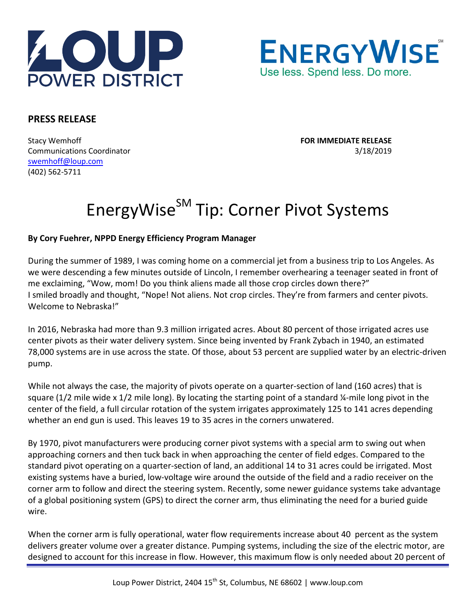



## **PRESS RELEASE**

Stacy Wemhoff **FOR IMMEDIATE RELEASE** Communications Coordinator 3/18/2019 [swemhoff@loup.com](mailto:swemhoff@loup.com)  (402) 562-5711

## EnergyWise<sup>SM</sup> Tip: Corner Pivot Systems

## **By Cory Fuehrer, NPPD Energy Efficiency Program Manager**

During the summer of 1989, I was coming home on a commercial jet from a business trip to Los Angeles. As we were descending a few minutes outside of Lincoln, I remember overhearing a teenager seated in front of me exclaiming, "Wow, mom! Do you think aliens made all those crop circles down there?" I smiled broadly and thought, "Nope! Not aliens. Not crop circles. They're from farmers and center pivots. Welcome to Nebraska!"

In 2016, Nebraska had more than 9.3 million irrigated acres. About 80 percent of those irrigated acres use center pivots as their water delivery system. Since being invented by Frank Zybach in 1940, an estimated 78,000 systems are in use across the state. Of those, about 53 percent are supplied water by an electric-driven pump.

While not always the case, the majority of pivots operate on a quarter-section of land (160 acres) that is square (1/2 mile wide x 1/2 mile long). By locating the starting point of a standard ¼-mile long pivot in the center of the field, a full circular rotation of the system irrigates approximately 125 to 141 acres depending whether an end gun is used. This leaves 19 to 35 acres in the corners unwatered.

By 1970, pivot manufacturers were producing corner pivot systems with a special arm to swing out when approaching corners and then tuck back in when approaching the center of field edges. Compared to the standard pivot operating on a quarter-section of land, an additional 14 to 31 acres could be irrigated. Most existing systems have a buried, low-voltage wire around the outside of the field and a radio receiver on the corner arm to follow and direct the steering system. Recently, some newer guidance systems take advantage of a global positioning system (GPS) to direct the corner arm, thus eliminating the need for a buried guide wire.

When the corner arm is fully operational, water flow requirements increase about 40 percent as the system delivers greater volume over a greater distance. Pumping systems, including the size of the electric motor, are designed to account for this increase in flow. However, this maximum flow is only needed about 20 percent of